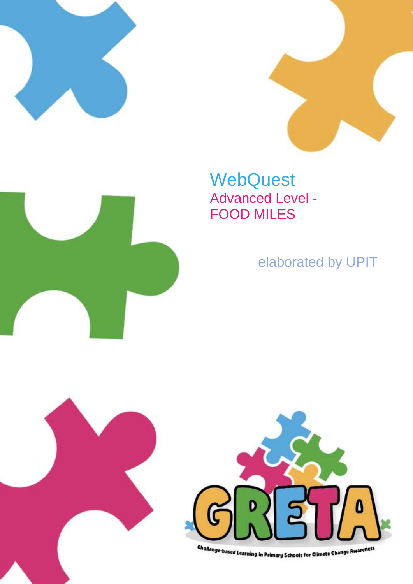





elaborated by UPIT



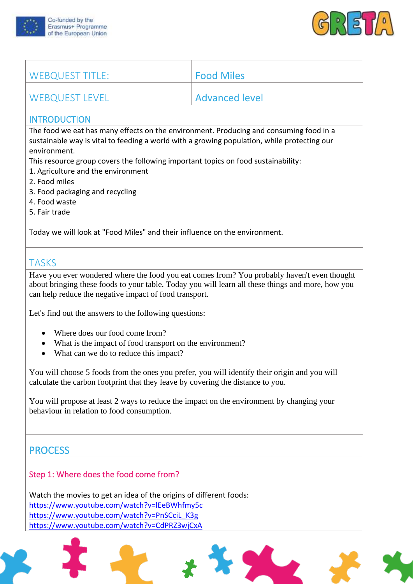



| WEBQUEST TITLE: | Food Miles            |
|-----------------|-----------------------|
| WEBQUEST LEVEL  | <b>Advanced level</b> |

#### **INTRODUCTION**

The food we eat has many effects on the environment. Producing and consuming food in a sustainable way is vital to feeding a world with a growing population, while protecting our environment.

This resource group covers the following important topics on food sustainability:

- 1. Agriculture and the environment
- 2. Food miles
- 3. Food packaging and recycling
- 4. Food waste
- 5. Fair trade

Today we will look at "Food Miles" and their influence on the environment.

# **TASKS**

Have you ever wondered where the food you eat comes from? You probably haven't even thought about bringing these foods to your table. Today you will learn all these things and more, how you can help reduce the negative impact of food transport.

Let's find out the answers to the following questions:

- Where does our food come from?
- What is the impact of food transport on the environment?
- What can we do to reduce this impact?

You will choose 5 foods from the ones you prefer, you will identify their origin and you will calculate the carbon footprint that they leave by covering the distance to you.

You will propose at least 2 ways to reduce the impact on the environment by changing your behaviour in relation to food consumption.

## **PROCESS**

### Step 1: Where does the food come from?

Watch the movies to get an idea of the origins of different foods: <https://www.youtube.com/watch?v=lEeBWhfmy5c> [https://www.youtube.com/watch?v=PnSCciL\\_K3g](https://www.youtube.com/watch?v=PnSCciL_K3g) <https://www.youtube.com/watch?v=CdPRZ3wjCxA>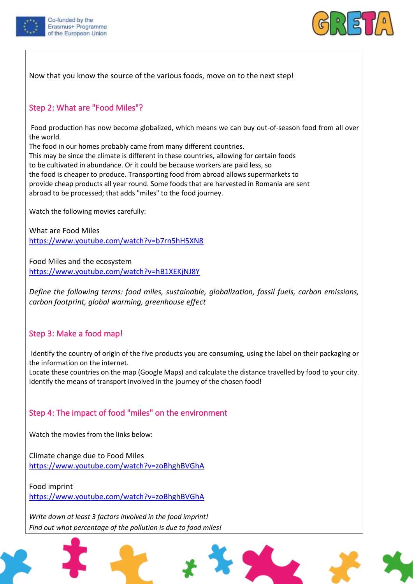



Now that you know the source of the various foods, move on to the next step!

#### Step 2: What are "Food Miles"?

Food production has now become globalized, which means we can buy out-of-season food from all over the world.

The food in our homes probably came from many different countries.

This may be since the climate is different in these countries, allowing for certain foods to be cultivated in abundance. Or it could be because workers are paid less, so the food is cheaper to produce. Transporting food from abroad allows supermarkets to provide cheap products all year round. Some foods that are harvested in Romania are sent abroad to be processed; that adds "miles" to the food journey.

Watch the following movies carefully:

What are Food Miles <https://www.youtube.com/watch?v=b7rn5hH5XN8>

Food Miles and the ecosystem <https://www.youtube.com/watch?v=hB1XEKjNJ8Y>

*Define the following terms: food miles, sustainable, globalization, fossil fuels, carbon emissions, carbon footprint, global warming, greenhouse effect*

#### Step 3: Make a food map!

Identify the country of origin of the five products you are consuming, using the label on their packaging or the information on the internet.

Locate these countries on the map (Google Maps) and calculate the distance travelled by food to your city. Identify the means of transport involved in the journey of the chosen food!

#### Step 4: The impact of food "miles" on the environment

Watch the movies from the links below:

Climate change due to Food Miles <https://www.youtube.com/watch?v=zoBhghBVGhA>

Food imprint <https://www.youtube.com/watch?v=zoBhghBVGhA>

*Write down at least 3 factors involved in the food imprint! Find out what percentage of the pollution is due to food miles!*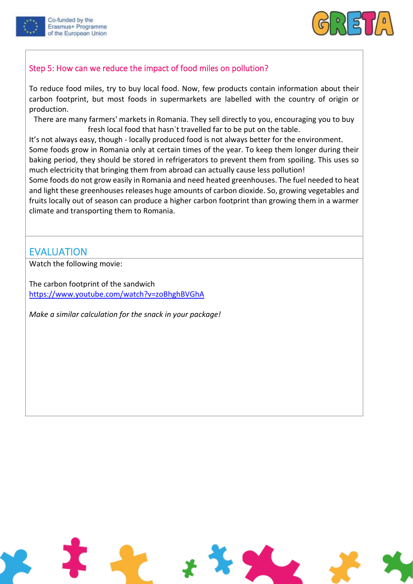





## Step 5: How can we reduce the impact of food miles on pollution?

To reduce food miles, try to buy local food. Now, few products contain information about their carbon footprint, but most foods in supermarkets are labelled with the country of origin or production.

There are many farmers' markets in Romania. They sell directly to you, encouraging you to buy fresh local food that hasn`t travelled far to be put on the table.

It's not always easy, though - locally produced food is not always better for the environment. Some foods grow in Romania only at certain times of the year. To keep them longer during their baking period, they should be stored in refrigerators to prevent them from spoiling. This uses so much electricity that bringing them from abroad can actually cause less pollution!

Some foods do not grow easily in Romania and need heated greenhouses. The fuel needed to heat and light these greenhouses releases huge amounts of carbon dioxide. So, growing vegetables and fruits locally out of season can produce a higher carbon footprint than growing them in a warmer climate and transporting them to Romania.

## EVALUATION

Watch the following movie:

The carbon footprint of the sandwich <https://www.youtube.com/watch?v=zoBhghBVGhA>

*Make a similar calculation for the snack in your package!*

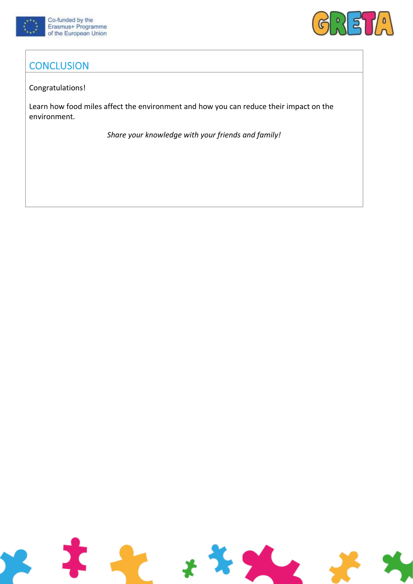



# **CONCLUSION**

#### Congratulations!

Learn how food miles affect the environment and how you can reduce their impact on the environment.

*Share your knowledge with your friends and family!*